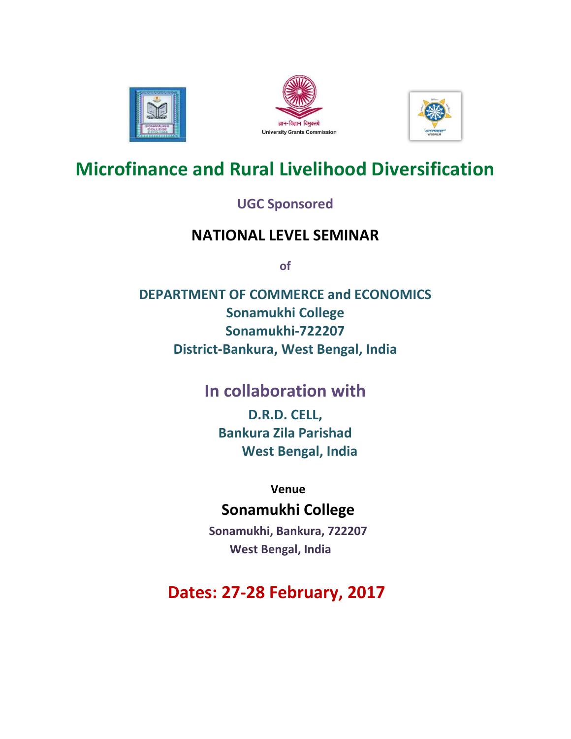





# **Microfinance and Rural Livelihood Diversification**

### **UGC Sponsored**

## **NATIONAL LEVEL SEMINAR**

**of** 

**DEPARTMENT OF COMMERCE and ECONOMICS Sonamukhi College Sonamukhi-722207 District-Bankura, West Bengal, India** 

## **In collaboration with**

**D.R.D. CELL, Bankura Zila Parishad West Bengal, India** 

 **Venue** 

## **Sonamukhi College**

 **Sonamukhi, Bankura, 722207 West Bengal, India** 

**Dates: 27-28 February, 2017**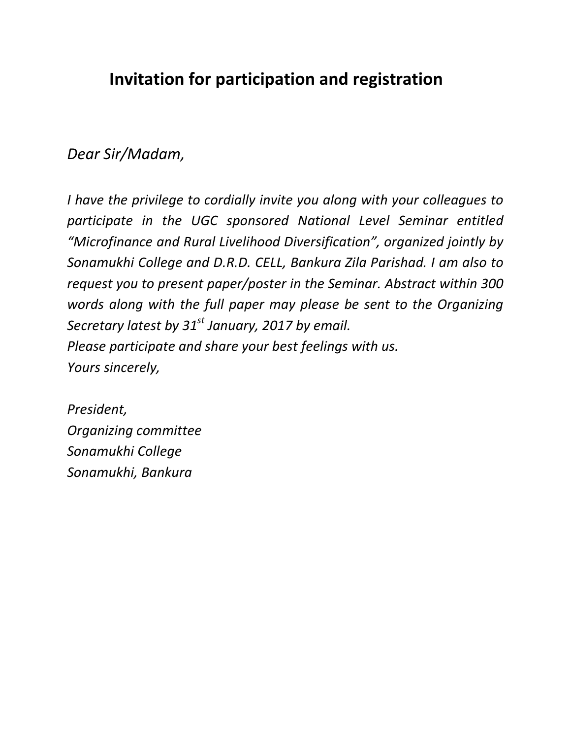## **Invitation for participation and registration**

### *Dear Sir/Madam,*

*I have the privilege to cordially invite you along with your colleagues to participate in the UGC sponsored National Level Seminar entitled "Microfinance and Rural Livelihood Diversification", organized jointly by Sonamukhi College and D.R.D. CELL, Bankura Zila Parishad. I am also to request you to present paper/poster in the Seminar. Abstract within 300 words along with the full paper may please be sent to the Organizing Secretary latest by 31st January, 2017 by email. Please participate and share your best feelings with us. Yours sincerely,* 

*President, Organizing committee Sonamukhi College Sonamukhi, Bankura*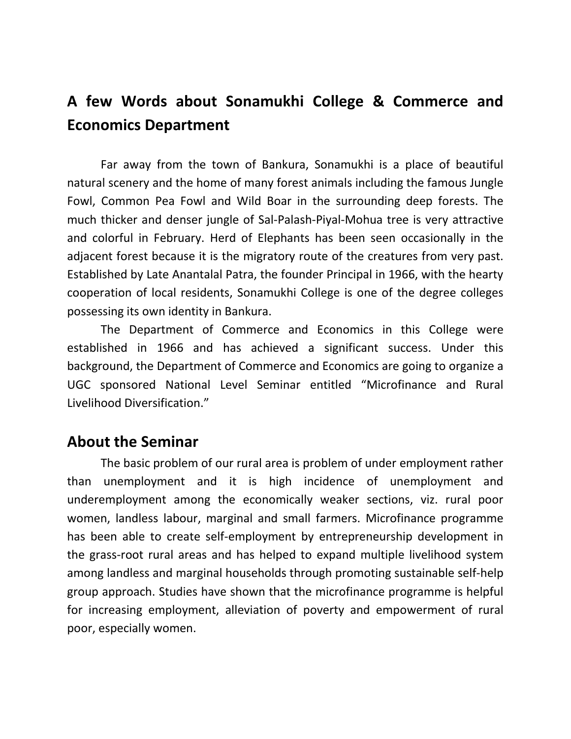## **A few Words about Sonamukhi College & Commerce and Economics Department**

Far away from the town of Bankura, Sonamukhi is a place of beautiful natural scenery and the home of many forest animals including the famous Jungle Fowl, Common Pea Fowl and Wild Boar in the surrounding deep forests. The much thicker and denser jungle of Sal-Palash-Piyal-Mohua tree is very attractive and colorful in February. Herd of Elephants has been seen occasionally in the adjacent forest because it is the migratory route of the creatures from very past. Established by Late Anantalal Patra, the founder Principal in 1966, with the hearty cooperation of local residents, Sonamukhi College is one of the degree colleges possessing its own identity in Bankura.

The Department of Commerce and Economics in this College were established in 1966 and has achieved a significant success. Under this background, the Department of Commerce and Economics are going to organize a UGC sponsored National Level Seminar entitled "Microfinance and Rural Livelihood Diversification."

#### **About the Seminar**

The basic problem of our rural area is problem of under employment rather than unemployment and it is high incidence of unemployment and underemployment among the economically weaker sections, viz. rural poor women, landless labour, marginal and small farmers. Microfinance programme has been able to create self-employment by entrepreneurship development in the grass-root rural areas and has helped to expand multiple livelihood system among landless and marginal households through promoting sustainable self-help group approach. Studies have shown that the microfinance programme is helpful for increasing employment, alleviation of poverty and empowerment of rural poor, especially women.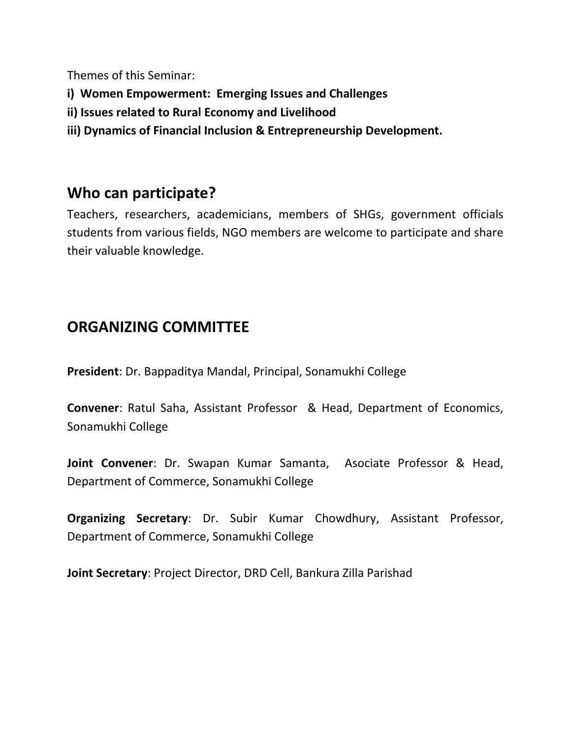Themes of this Seminar:

- **i) Women Empowerment: Emerging Issues and Challenges**
- **ii) Issues related to Rural Economy and Livelihood**
- **iii) Dynamics of Financial Inclusion & Entrepreneurship Development.**

### **Who can participate?**

Teachers, researchers, academicians, members of SHGs, government officials students from various fields, NGO members are welcome to participate and share their valuable knowledge.

## **ORGANIZING COMMITTEE**

**President**: Dr. Bappaditya Mandal, Principal, Sonamukhi College

**Convener**: Ratul Saha, Assistant Professor & Head, Department of Economics, Sonamukhi College

**Joint Convener**: Dr. Swapan Kumar Samanta, Asociate Professor & Head, Department of Commerce, Sonamukhi College

**Organizing Secretary**: Dr. Subir Kumar Chowdhury, Assistant Professor, Department of Commerce, Sonamukhi College

**Joint Secretary**: Project Director, DRD Cell, Bankura Zilla Parishad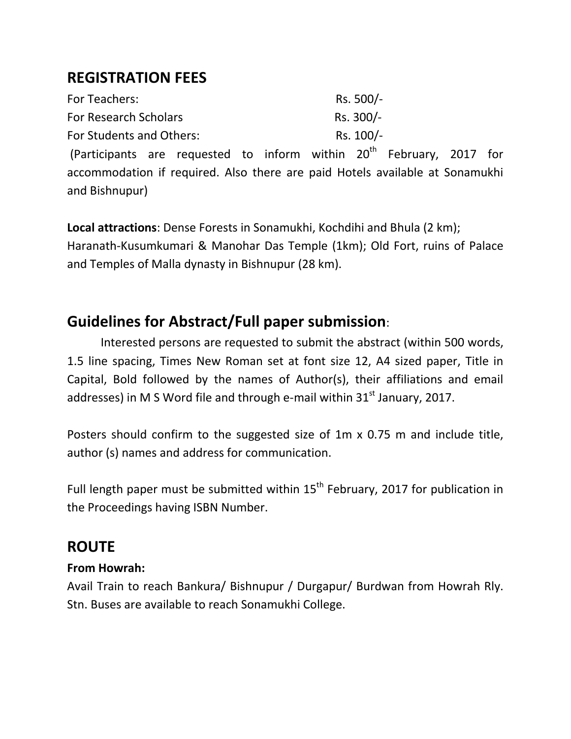## **REGISTRATION FEES**

| For Teachers:                | Rs. 500/- |
|------------------------------|-----------|
| <b>For Research Scholars</b> | Rs. 300/- |
| For Students and Others:     | Rs. 100/- |

(Participants are requested to inform within  $20<sup>th</sup>$  February, 2017 for accommodation if required. Also there are paid Hotels available at Sonamukhi and Bishnupur)

**Local attractions**: Dense Forests in Sonamukhi, Kochdihi and Bhula (2 km); Haranath-Kusumkumari & Manohar Das Temple (1km); Old Fort, ruins of Palace and Temples of Malla dynasty in Bishnupur (28 km).

## **Guidelines for Abstract/Full paper submission**:

Interested persons are requested to submit the abstract (within 500 words, 1.5 line spacing, Times New Roman set at font size 12, A4 sized paper, Title in Capital, Bold followed by the names of Author(s), their affiliations and email addresses) in M S Word file and through e-mail within  $31<sup>st</sup>$  January, 2017.

Posters should confirm to the suggested size of 1m x 0.75 m and include title, author (s) names and address for communication.

Full length paper must be submitted within  $15<sup>th</sup>$  February, 2017 for publication in the Proceedings having ISBN Number.

## **ROUTE**

#### **From Howrah:**

Avail Train to reach Bankura/ Bishnupur / Durgapur/ Burdwan from Howrah Rly. Stn. Buses are available to reach Sonamukhi College.